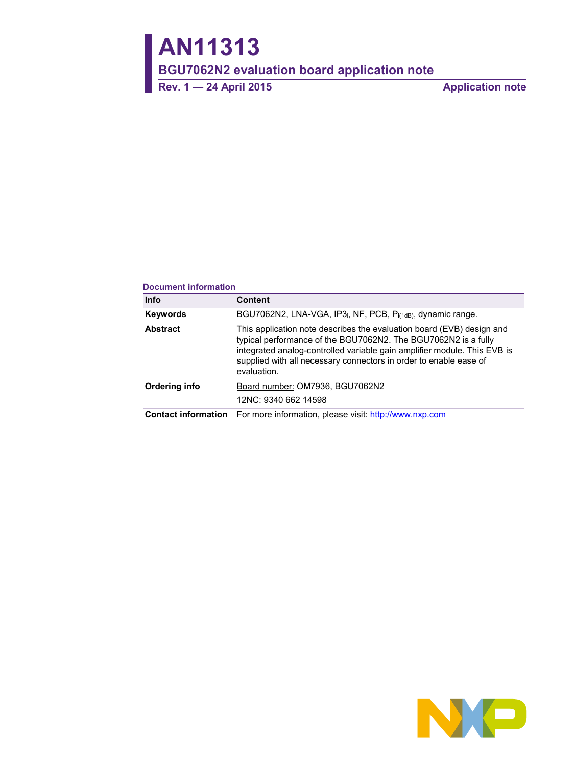# **AN11313**

**BGU7062N2 evaluation board application note**

**Rev. 1 — 24 April 2015 Application note**

#### **Document information**

| <b>Info</b>                | <b>Content</b>                                                                                                                                                                                                                                                                                          |
|----------------------------|---------------------------------------------------------------------------------------------------------------------------------------------------------------------------------------------------------------------------------------------------------------------------------------------------------|
| <b>Keywords</b>            | BGU7062N2, LNA-VGA, IP3 <sub>i</sub> , NF, PCB, P <sub>i(1dB)</sub> , dynamic range.                                                                                                                                                                                                                    |
| <b>Abstract</b>            | This application note describes the evaluation board (EVB) design and<br>typical performance of the BGU7062N2. The BGU7062N2 is a fully<br>integrated analog-controlled variable gain amplifier module. This EVB is<br>supplied with all necessary connectors in order to enable ease of<br>evaluation. |
| Ordering info              | Board number: OM7936, BGU7062N2                                                                                                                                                                                                                                                                         |
|                            | 12NC: 9340 662 14598                                                                                                                                                                                                                                                                                    |
| <b>Contact information</b> | For more information, please visit: http://www.nxp.com                                                                                                                                                                                                                                                  |

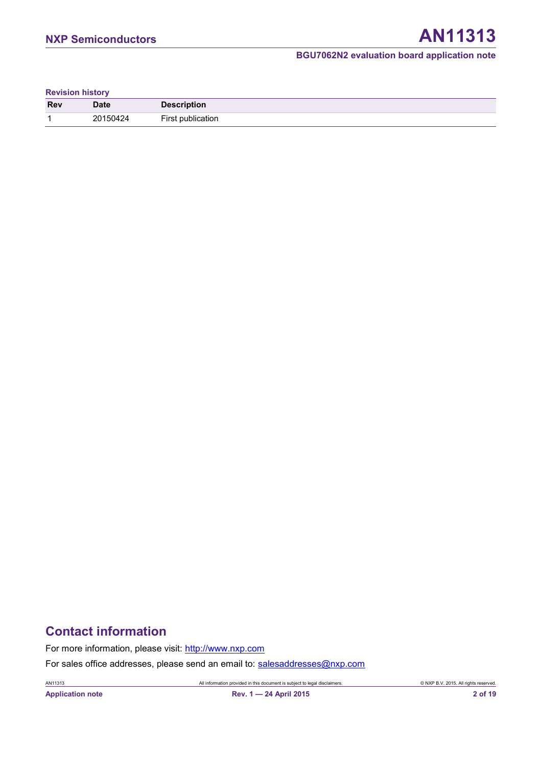#### **Revision history**

| <b>Rev</b> | Date     | <b>Description</b> |
|------------|----------|--------------------|
| и          | ?0150424 | Tirc.<br>blication |

# **Contact information**

For more information, please visit: [http://www.nxp.com](http://www.nxp.com/)

For sales office addresses, please send an email to: [salesaddresses@nxp.com](mailto:salesaddresses@nxp.com)

AN11313 All information provided in this document is subject to legal disclaimers. © NXP B.V. 2015. All rights reserved.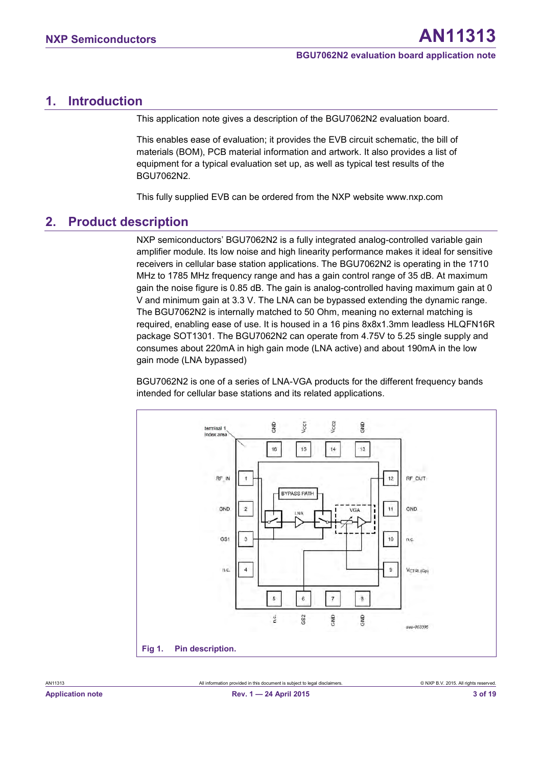### <span id="page-2-1"></span>**1. Introduction**

This application note gives a description of the BGU7062N2 evaluation board.

This enables ease of evaluation; it provides the EVB circuit schematic, the bill of materials (BOM), PCB material information and artwork. It also provides a list of equipment for a typical evaluation set up, as well as typical test results of the BGU7062N2.

This fully supplied EVB can be ordered from the NXP website www.nxp.com

#### <span id="page-2-2"></span>**2. Product description**

NXP semiconductors' BGU7062N2 is a fully integrated analog-controlled variable gain amplifier module. Its low noise and high linearity performance makes it ideal for sensitive receivers in cellular base station applications. The BGU7062N2 is operating in the 1710 MHz to 1785 MHz frequency range and has a gain control range of 35 dB. At maximum gain the noise figure is 0.85 dB. The gain is analog-controlled having maximum gain at 0 V and minimum gain at 3.3 V. The LNA can be bypassed extending the dynamic range. The BGU7062N2 is internally matched to 50 Ohm, meaning no external matching is required, enabling ease of use. It is housed in a 16 pins 8x8x1.3mm leadless HLQFN16R package SOT1301. The BGU7062N2 can operate from 4.75V to 5.25 single supply and consumes about 220mA in high gain mode (LNA active) and about 190mA in the low gain mode (LNA bypassed)

BGU7062N2 is one of a series of LNA-VGA products for the different frequency bands intended for cellular base stations and its related applications.

<span id="page-2-0"></span>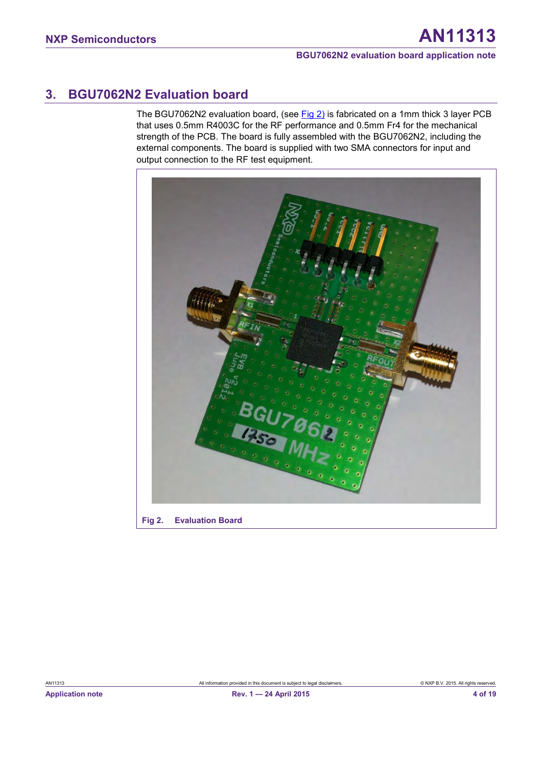# <span id="page-3-2"></span>**3. BGU7062N2 Evaluation board**

The BGU7062N2 evaluation board, (see [Fig 2\)](#page-3-0) is fabricated on a 1mm thick 3 layer PCB that uses 0.5mm R4003C for the RF performance and 0.5mm Fr4 for the mechanical strength of the PCB. The board is fully assembled with the BGU7062N2, including the external components. The board is supplied with two SMA connectors for input and output connection to the RF test equipment.

<span id="page-3-1"></span><span id="page-3-0"></span>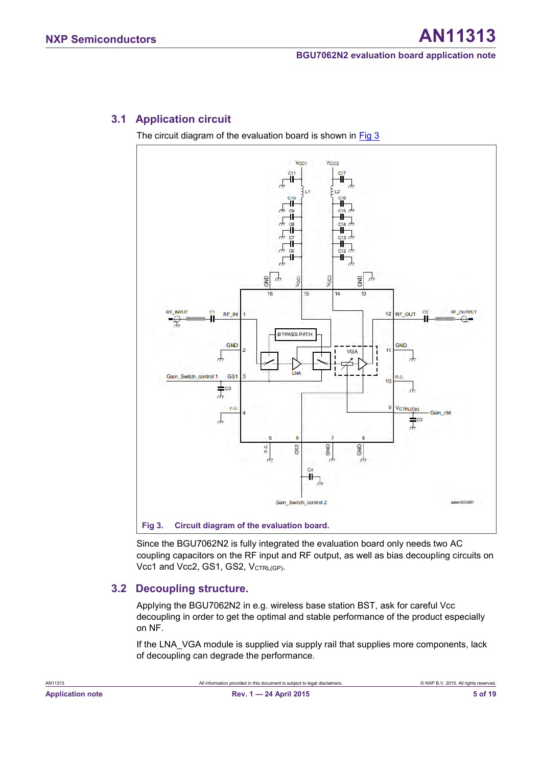### <span id="page-4-2"></span>**3.1 Application circuit**

The circuit diagram of the evaluation board is shown in [Fig 3](#page-4-0)



<span id="page-4-3"></span><span id="page-4-1"></span><span id="page-4-0"></span>Since the BGU7062N2 is fully integrated the evaluation board only needs two AC coupling capacitors on the RF input and RF output, as well as bias decoupling circuits on Vcc1 and Vcc2, GS1, GS2, VCTRL(GP).

#### **3.2 Decoupling structure.**

Applying the BGU7062N2 in e.g. wireless base station BST, ask for careful Vcc decoupling in order to get the optimal and stable performance of the product especially on NF.

If the LNA VGA module is supplied via supply rail that supplies more components, lack of decoupling can degrade the performance.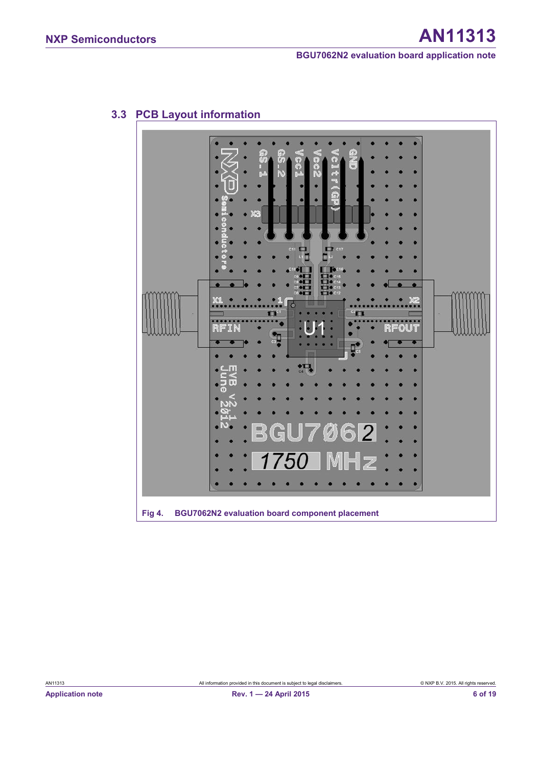

## <span id="page-5-1"></span>**3.3 PCB Layout information**

<span id="page-5-0"></span>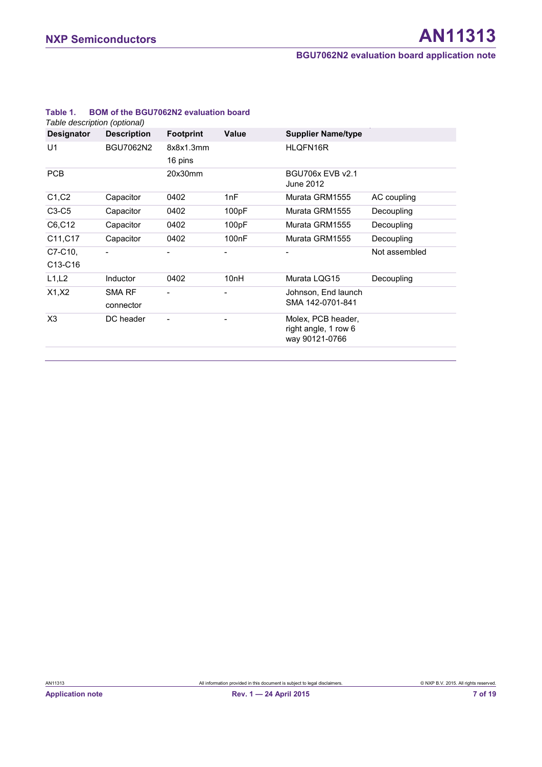| <b>Designator</b>  | <b>Description</b>         | <b>Footprint</b>     | <b>Value</b>       | <b>Supplier Name/type</b>                                    |               |
|--------------------|----------------------------|----------------------|--------------------|--------------------------------------------------------------|---------------|
| U1                 | <b>BGU7062N2</b>           | 8x8x1.3mm<br>16 pins |                    | HLQFN16R                                                     |               |
| <b>PCB</b>         |                            | 20x30mm              |                    | <b>BGU706x EVB v2.1</b><br>June 2012                         |               |
| C1, C2             | Capacitor                  | 0402                 | 1nF                | Murata GRM1555                                               | AC coupling   |
| $C3-C5$            | Capacitor                  | 0402                 | 100pF              | Murata GRM1555                                               | Decoupling    |
| C6, C12            | Capacitor                  | 0402                 | 100pF              | Murata GRM1555                                               | Decoupling    |
| C11, C17           | Capacitor                  | 0402                 | 100 <sub>n</sub> F | Murata GRM1555                                               | Decoupling    |
| C7-C10,<br>C13-C16 |                            |                      |                    |                                                              | Not assembled |
| L1, L2             | Inductor                   | 0402                 | 10 <sub>nH</sub>   | Murata LQG15                                                 | Decoupling    |
| X1, X2             | <b>SMA RF</b><br>connector |                      |                    | Johnson, End launch<br>SMA 142-0701-841                      |               |
| X3                 | DC header                  |                      |                    | Molex, PCB header,<br>right angle, 1 row 6<br>way 90121-0766 |               |

#### <span id="page-6-0"></span>**Table 1. BOM of the BGU7062N2 evaluation board**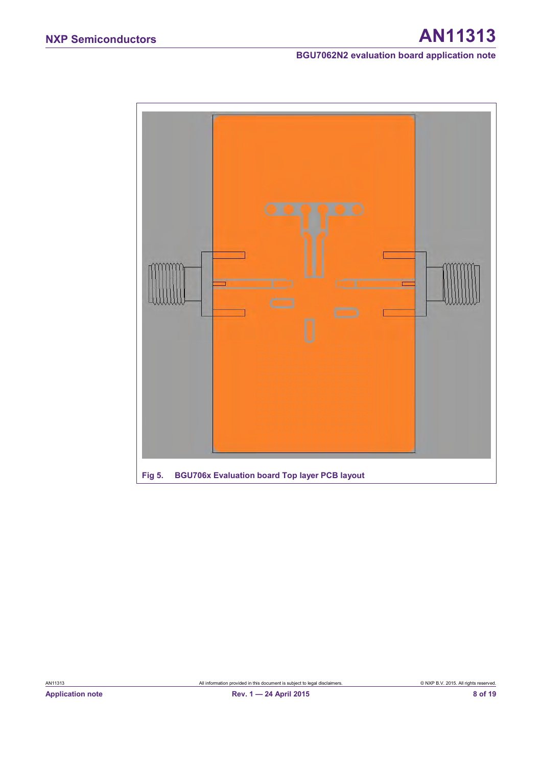# **NXP Semiconductors AN11313**

**BGU7062N2 evaluation board application note**

<span id="page-7-0"></span>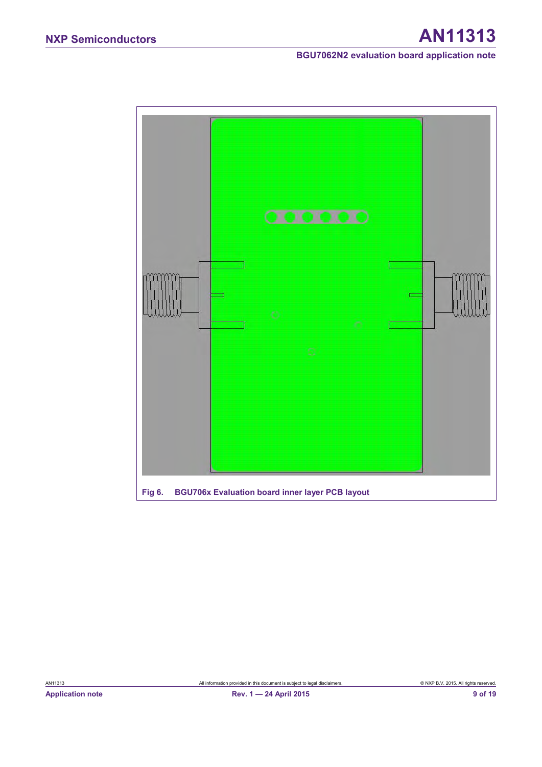<span id="page-8-0"></span>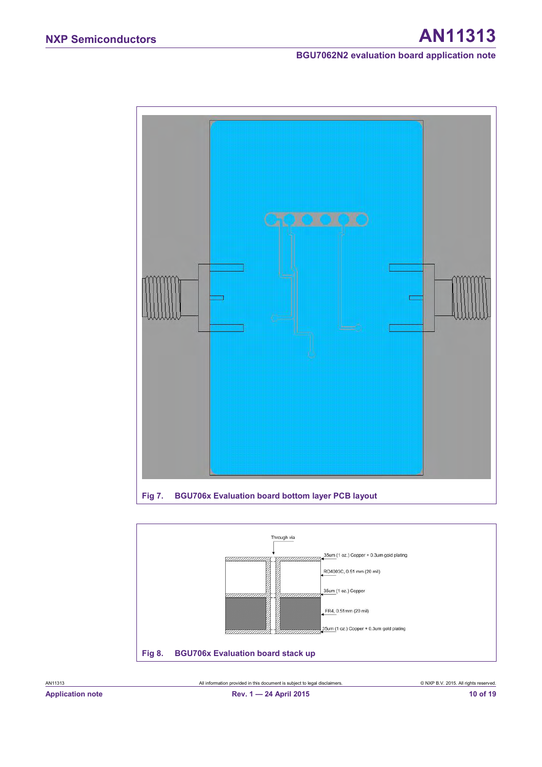

<span id="page-9-1"></span><span id="page-9-0"></span>

**Application note Rev. 1 — 24 April 2015 10 of 19**

AN11313 All information provided in this document is subject to legal disclaimers. © NXP B.V. 2015. All rights reserved.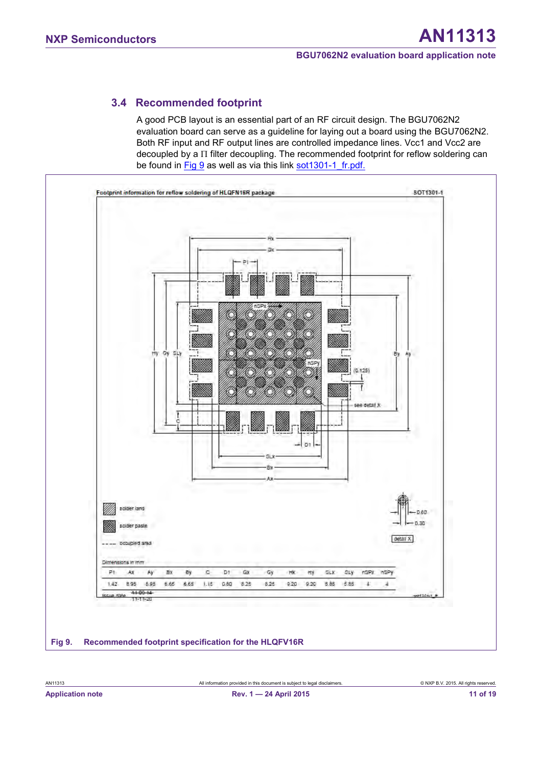### <span id="page-10-2"></span>**3.4 Recommended footprint**

A good PCB layout is an essential part of an RF circuit design. The BGU7062N2 evaluation board can serve as a guideline for laying out a board using the BGU7062N2. Both RF input and RF output lines are controlled impedance lines. Vcc1 and Vcc2 are decoupled by a  $\Pi$  filter decoupling. The recommended footprint for reflow soldering can be found in [Fig 9](#page-10-0) as well as via this link sot 1301-1 fr.pdf.

<span id="page-10-1"></span><span id="page-10-0"></span>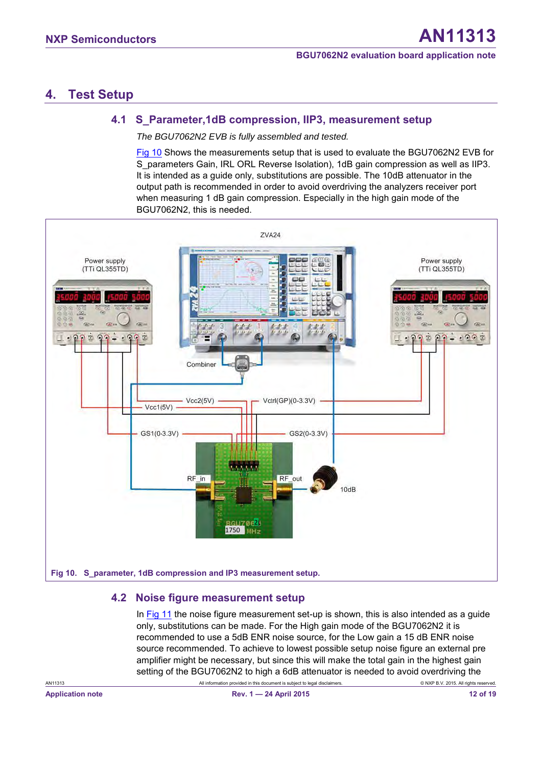# <span id="page-11-2"></span>**4. Test Setup**

#### <span id="page-11-3"></span>**4.1 S\_Parameter,1dB compression, IIP3, measurement setup**

*The BGU7062N2 EVB is fully assembled and tested.* 

[Fig 10](#page-11-0) Shows the measurements setup that is used to evaluate the BGU7062N2 EVB for S\_parameters Gain, IRL ORL Reverse Isolation), 1dB gain compression as well as IIP3. It is intended as a guide only, substitutions are possible. The 10dB attenuator in the output path is recommended in order to avoid overdriving the analyzers receiver port when measuring 1 dB gain compression. Especially in the high gain mode of the BGU7062N2, this is needed.



#### <span id="page-11-4"></span><span id="page-11-1"></span><span id="page-11-0"></span>**4.2 Noise figure measurement setup**

In [Fig 11](#page-12-0) the noise figure measurement set-up is shown, this is also intended as a guide only, substitutions can be made. For the High gain mode of the BGU7062N2 it is recommended to use a 5dB ENR noise source, for the Low gain a 15 dB ENR noise source recommended. To achieve to lowest possible setup noise figure an external pre amplifier might be necessary, but since this will make the total gain in the highest gain setting of the BGU7062N2 to high a 6dB attenuator is needed to avoid overdriving the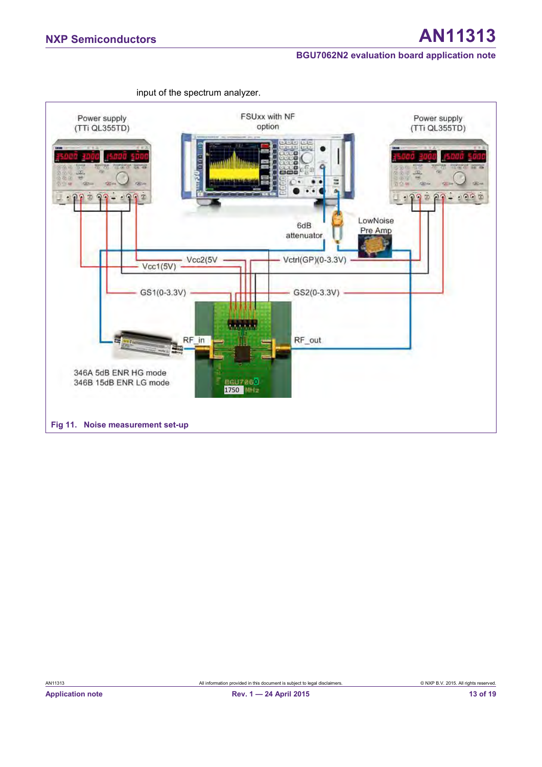<span id="page-12-1"></span><span id="page-12-0"></span>

input of the spectrum analyzer.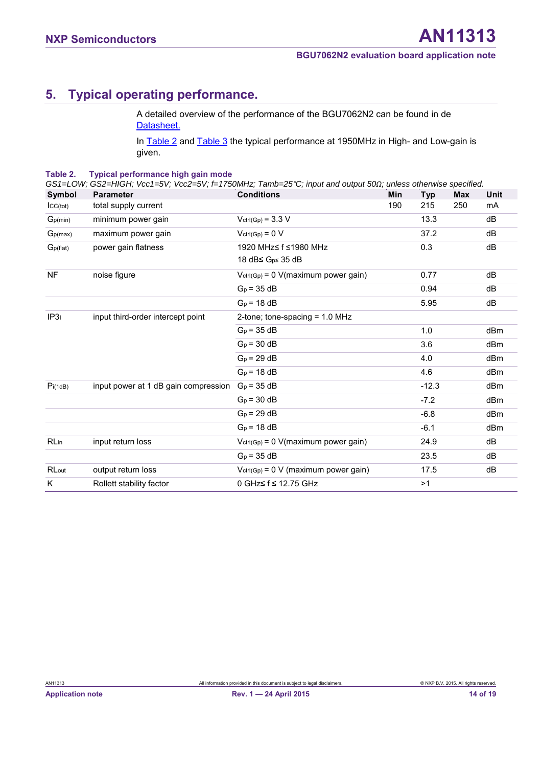# <span id="page-13-2"></span>**5. Typical operating performance.**

<span id="page-13-1"></span>A detailed overview of the performance of the BGU7062N2 can be found in de [Datasheet.](http://www.nxp.com/documents/data_sheet/BGU7062N2.pdf) 

In [Table 2](#page-13-0) and [Table 3](#page-14-0) the typical performance at 1950MHz in High- and Low-gain is given.

#### <span id="page-13-0"></span>**Table 2. Typical performance high gain mode**

| Symbol                | <b>Parameter</b>                     | <b>Conditions</b>                         | Min | Typ     | <b>Max</b> | Unit            |
|-----------------------|--------------------------------------|-------------------------------------------|-----|---------|------------|-----------------|
| ICC(tot)              | total supply current                 |                                           | 190 | 215     | 250        | mA              |
| Gp(min)               | minimum power gain                   | $Vert(Gp) = 3.3 V$                        |     | 13.3    |            | dB              |
| G <sub>p(max)</sub>   | maximum power gain                   | $Vctr(Gp) = 0 V$                          |     | 37.2    |            | dB              |
| G <sub>p</sub> (flat) | power gain flatness                  | 1920 MHz≤ f ≤1980 MHz                     |     | 0.3     |            | dB              |
|                       |                                      | 18 dB≤ G <sub>p≤</sub> 35 dB              |     |         |            |                 |
| <b>NF</b>             | noise figure                         | $V_{ctrl(Gp)} = 0$ V(maximum power gain)  |     | 0.77    |            | dB              |
|                       |                                      | $GD$ = 35 dB                              |     | 0.94    |            | dB              |
|                       |                                      | $G_p = 18 dB$                             |     | 5.95    |            | dB              |
| IP31                  | input third-order intercept point    | 2-tone; tone-spacing = $1.0$ MHz          |     |         |            |                 |
|                       |                                      | $G_p = 35 dB$                             |     | 1.0     |            | dB <sub>m</sub> |
|                       |                                      | $G_p = 30 dB$                             |     | 3.6     |            | dBm             |
|                       |                                      | $GD = 29 dB$                              |     | 4.0     |            | dBm             |
|                       |                                      | $GD = 18 dB$                              |     | 4.6     |            | dBm             |
| Pi(1dB)               | input power at 1 dB gain compression | $G_p = 35 dB$                             |     | $-12.3$ |            | dBm             |
|                       |                                      | $G_p = 30 dB$                             |     | $-7.2$  |            | dBm             |
|                       |                                      | $G_p = 29 dB$                             |     | $-6.8$  |            | dBm             |
|                       |                                      | $G_p = 18 dB$                             |     | $-6.1$  |            | dBm             |
| <b>RLin</b>           | input return loss                    | $Vert(Gp) = 0$ V(maximum power gain)      |     | 24.9    |            | dB              |
|                       |                                      | $G_p = 35 dB$                             |     | 23.5    |            | dB              |
| RLout                 | output return loss                   | $V_{ctrl(Gp)} = 0$ V (maximum power gain) |     | 17.5    |            | dB              |
| K                     | Rollett stability factor             | 0 GHz≤ f ≤ 12.75 GHz                      |     | >1      |            |                 |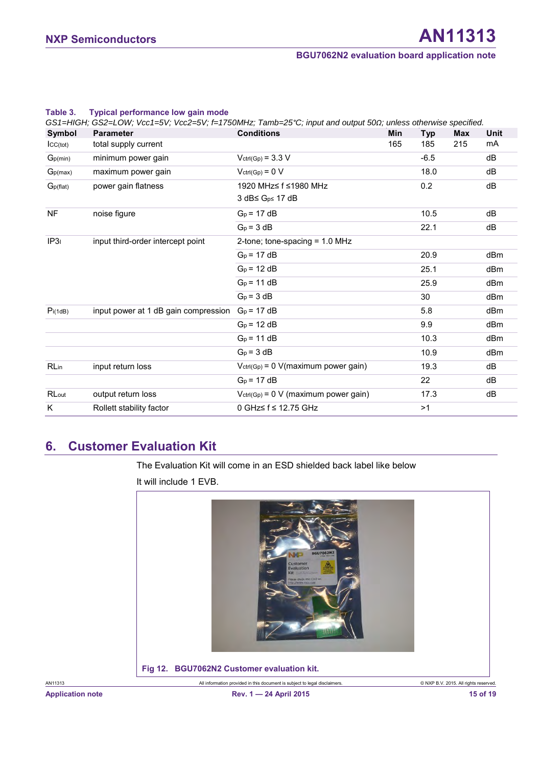| Symbol                | <b>Parameter</b>                     | <b>Conditions</b>                         | <b>Min</b> | Typ    | <b>Max</b> | Unit            |
|-----------------------|--------------------------------------|-------------------------------------------|------------|--------|------------|-----------------|
| CC(tot)               | total supply current                 |                                           | 165        | 185    | 215        | mA              |
| Gp(min)               | minimum power gain                   | $Vert(Gp) = 3.3 V$                        |            | $-6.5$ |            | dB              |
| G <sub>p(max)</sub>   | maximum power gain                   | $V_{ctrl(Gp)} = 0 V$                      |            | 18.0   |            | dB              |
| G <sub>p</sub> (flat) | power gain flatness                  | 1920 MHz≤ f ≤1980 MHz                     |            | 0.2    |            | dB              |
|                       |                                      | 3 dB≤ G <sub>p≤</sub> 17 dB               |            |        |            |                 |
| <b>NF</b>             | noise figure                         | $G_p = 17 dB$                             |            | 10.5   |            | dB              |
|                       |                                      | $G_p = 3 dB$                              |            | 22.1   |            | dB              |
| IP31                  | input third-order intercept point    | 2-tone; tone-spacing = $1.0$ MHz          |            |        |            |                 |
|                       |                                      | $G_p = 17 dB$                             |            | 20.9   |            | dBm             |
|                       |                                      | $G_p = 12 dB$                             |            | 25.1   |            | dB <sub>m</sub> |
|                       |                                      | $G_p = 11 dB$                             |            | 25.9   |            | dBm             |
|                       |                                      | $G_p = 3 dB$                              |            | 30     |            | dB <sub>m</sub> |
| Pi(1dB)               | input power at 1 dB gain compression | $G_p = 17 dB$                             |            | 5.8    |            | dBm             |
|                       |                                      | $G_p = 12 dB$                             |            | 9.9    |            | dBm             |
|                       |                                      | $G_p = 11 dB$                             |            | 10.3   |            | dB <sub>m</sub> |
|                       |                                      | $G_p = 3 dB$                              |            | 10.9   |            | dB <sub>m</sub> |
| <b>RLin</b>           | input return loss                    | $V_{ctrl(Gp)} = 0$ V(maximum power gain)  |            | 19.3   |            | dB              |
|                       |                                      | $G_p = 17 dB$                             |            | 22     |            | dB              |
| RLout                 | output return loss                   | $V_{ctrl(Gp)} = 0$ V (maximum power gain) |            | 17.3   |            | dB              |
| Κ                     | Rollett stability factor             | 0 GHz≤ f ≤ 12.75 GHz                      |            | >1     |            |                 |

#### <span id="page-14-2"></span><span id="page-14-0"></span>**Table 3. Typical performance low gain mode**

# <span id="page-14-3"></span>**6. Customer Evaluation Kit**

The Evaluation Kit will come in an ESD shielded back label like below

<span id="page-14-1"></span>It will include 1 EVB.

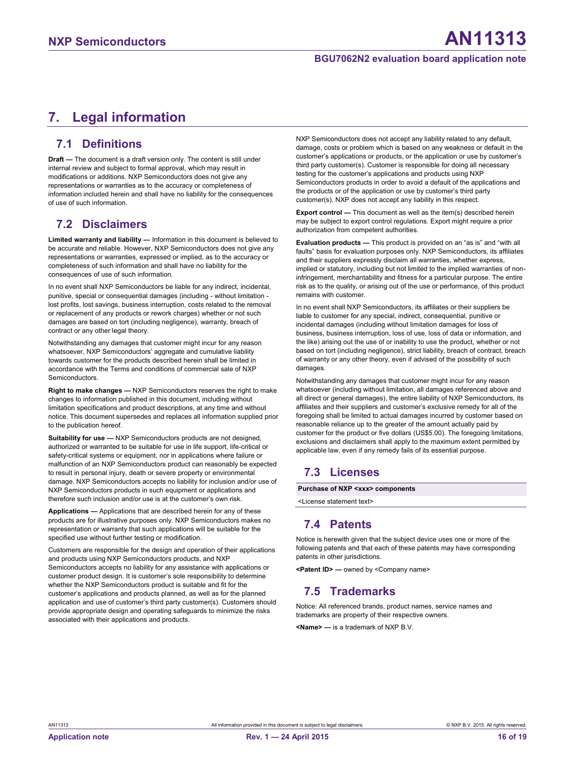# <span id="page-15-0"></span>**7. Legal information**

#### <span id="page-15-1"></span>**7.1 Definitions**

**Draft —** The document is a draft version only. The content is still under internal review and subject to formal approval, which may result in modifications or additions. NXP Semiconductors does not give any representations or warranties as to the accuracy or completeness of information included herein and shall have no liability for the consequences of use of such information.

#### <span id="page-15-2"></span>**7.2 Disclaimers**

**Limited warranty and liability —** Information in this document is believed to be accurate and reliable. However, NXP Semiconductors does not give any representations or warranties, expressed or implied, as to the accuracy or completeness of such information and shall have no liability for the consequences of use of such information.

In no event shall NXP Semiconductors be liable for any indirect, incidental, punitive, special or consequential damages (including - without limitation lost profits, lost savings, business interruption, costs related to the removal or replacement of any products or rework charges) whether or not such damages are based on tort (including negligence), warranty, breach of contract or any other legal theory.

Notwithstanding any damages that customer might incur for any reason whatsoever, NXP Semiconductors' aggregate and cumulative liability towards customer for the products described herein shall be limited in accordance with the Terms and conditions of commercial sale of NXP Semiconductors.

**Right to make changes —** NXP Semiconductors reserves the right to make changes to information published in this document, including without limitation specifications and product descriptions, at any time and without notice. This document supersedes and replaces all information supplied prior to the publication hereof.

**Suitability for use —** NXP Semiconductors products are not designed, authorized or warranted to be suitable for use in life support, life-critical or safety-critical systems or equipment, nor in applications where failure or malfunction of an NXP Semiconductors product can reasonably be expected to result in personal injury, death or severe property or environmental damage. NXP Semiconductors accepts no liability for inclusion and/or use of NXP Semiconductors products in such equipment or applications and therefore such inclusion and/or use is at the customer's own risk.

**Applications —** Applications that are described herein for any of these products are for illustrative purposes only. NXP Semiconductors makes no representation or warranty that such applications will be suitable for the specified use without further testing or modification.

Customers are responsible for the design and operation of their applications and products using NXP Semiconductors products, and NXP Semiconductors accepts no liability for any assistance with applications or customer product design. It is customer's sole responsibility to determine whether the NXP Semiconductors product is suitable and fit for the customer's applications and products planned, as well as for the planned application and use of customer's third party customer(s). Customers should provide appropriate design and operating safeguards to minimize the risks associated with their applications and products.

NXP Semiconductors does not accept any liability related to any default, damage, costs or problem which is based on any weakness or default in the customer's applications or products, or the application or use by customer's third party customer(s). Customer is responsible for doing all necessary testing for the customer's applications and products using NXP Semiconductors products in order to avoid a default of the applications and the products or of the application or use by customer's third party customer(s). NXP does not accept any liability in this respect.

**Export control —** This document as well as the item(s) described herein may be subject to export control regulations. Export might require a prior authorization from competent authorities.

**Evaluation products —** This product is provided on an "as is" and "with all faults" basis for evaluation purposes only. NXP Semiconductors, its affiliates and their suppliers expressly disclaim all warranties, whether express, implied or statutory, including but not limited to the implied warranties of noninfringement, merchantability and fitness for a particular purpose. The entire risk as to the quality, or arising out of the use or performance, of this product remains with customer.

In no event shall NXP Semiconductors, its affiliates or their suppliers be liable to customer for any special, indirect, consequential, punitive or incidental damages (including without limitation damages for loss of business, business interruption, loss of use, loss of data or information, and the like) arising out the use of or inability to use the product, whether or not based on tort (including negligence), strict liability, breach of contract, breach of warranty or any other theory, even if advised of the possibility of such damages.

Notwithstanding any damages that customer might incur for any reason whatsoever (including without limitation, all damages referenced above and all direct or general damages), the entire liability of NXP Semiconductors, its affiliates and their suppliers and customer's exclusive remedy for all of the foregoing shall be limited to actual damages incurred by customer based on reasonable reliance up to the greater of the amount actually paid by customer for the product or five dollars (US\$5.00). The foregoing limitations, exclusions and disclaimers shall apply to the maximum extent permitted by applicable law, even if any remedy fails of its essential purpose.

#### <span id="page-15-3"></span>**7.3 Licenses**

**Purchase of NXP <xxx> components**

<span id="page-15-4"></span><License statement text>

#### **7.4 Patents**

Notice is herewith given that the subject device uses one or more of the following patents and that each of these patents may have corresponding patents in other jurisdictions.

<span id="page-15-5"></span>**<Patent ID> —** owned by <Company name>

#### **7.5 Trademarks**

Notice: All referenced brands, product names, service names and trademarks are property of their respective owners.

**<Name> —** is a trademark of NXP B.V.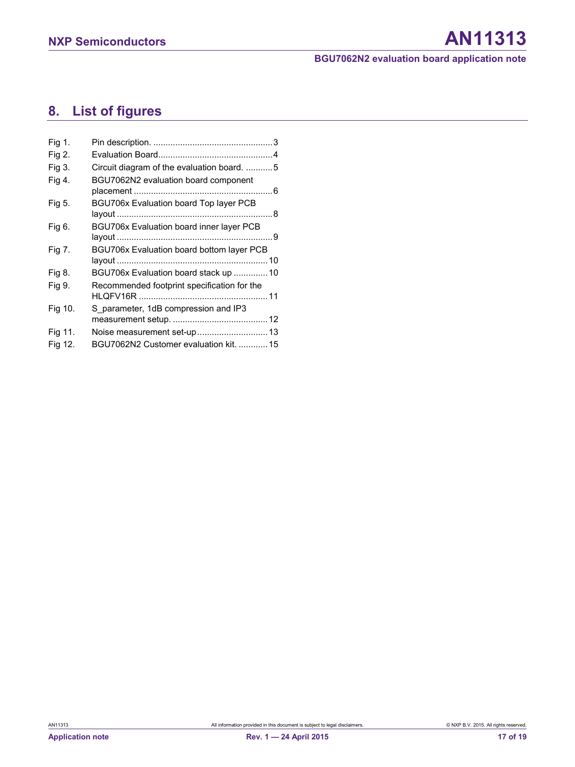# <span id="page-16-0"></span>**8. List of figures**

| Fig 1.  |                                                 |
|---------|-------------------------------------------------|
| Fig 2.  |                                                 |
| Fig 3.  | Circuit diagram of the evaluation board. 5      |
| Fig 4.  | BGU7062N2 evaluation board component            |
| Fig 5.  | BGU706x Evaluation board Top layer PCB          |
|         |                                                 |
| Fig 6.  | <b>BGU706x Evaluation board inner layer PCB</b> |
|         |                                                 |
| Fig 7.  | BGU706x Evaluation board bottom layer PCB       |
|         |                                                 |
| Fig 8.  | BGU706x Evaluation board stack up 10            |
| Fig 9.  | Recommended footprint specification for the     |
|         |                                                 |
| Fig 10. | S parameter, 1dB compression and IP3            |
|         |                                                 |
| Fig 11. | Noise measurement set-up  13                    |
| Fig 12. | BGU7062N2 Customer evaluation kit.  15          |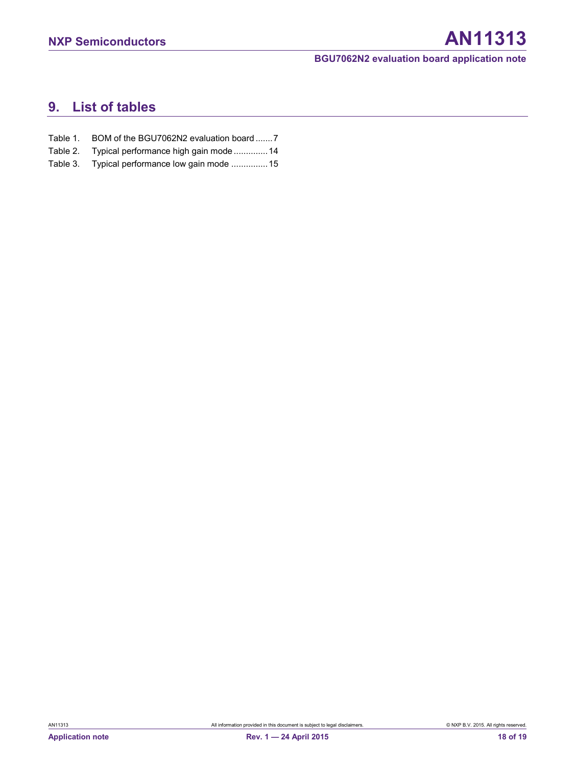# <span id="page-17-0"></span>**9. List of tables**

- Table 1. [BOM of the BGU7062N2 evaluation board ....... 7](#page-6-0)
- Table 2. [Typical performance high gain mode ..............14](#page-13-1)
- Table 3. [Typical performance low gain mode ...............15](#page-14-2)